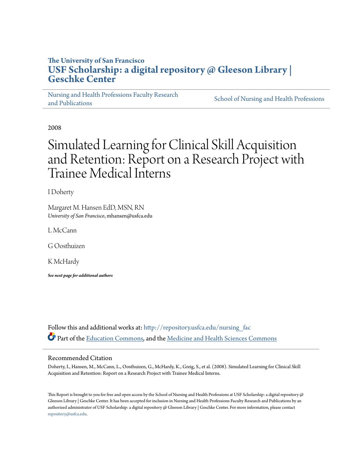# **The University of San Francisco [USF Scholarship: a digital repository @ Gleeson Library |](http://repository.usfca.edu?utm_source=repository.usfca.edu%2Fnursing_fac%2F61&utm_medium=PDF&utm_campaign=PDFCoverPages) [Geschke Center](http://repository.usfca.edu?utm_source=repository.usfca.edu%2Fnursing_fac%2F61&utm_medium=PDF&utm_campaign=PDFCoverPages)**

[Nursing and Health Professions Faculty Research](http://repository.usfca.edu/nursing_fac?utm_source=repository.usfca.edu%2Fnursing_fac%2F61&utm_medium=PDF&utm_campaign=PDFCoverPages) [and Publications](http://repository.usfca.edu/nursing_fac?utm_source=repository.usfca.edu%2Fnursing_fac%2F61&utm_medium=PDF&utm_campaign=PDFCoverPages)

[School of Nursing and Health Professions](http://repository.usfca.edu/nursing?utm_source=repository.usfca.edu%2Fnursing_fac%2F61&utm_medium=PDF&utm_campaign=PDFCoverPages)

2008

# Simulated Learning for Clinical Skill Acquisition and Retention: Report on a Research Project with Trainee Medical Interns

I Doherty

Margaret M. Hansen EdD, MSN, RN *University of San Francisco*, mhansen@usfca.edu

L McCann

G Oosthuizen

K McHardy

*See next page for additional authors*

Follow this and additional works at: http://repository.usfca.edu/nursing fac Part of the [Education Commons](http://network.bepress.com/hgg/discipline/784?utm_source=repository.usfca.edu%2Fnursing_fac%2F61&utm_medium=PDF&utm_campaign=PDFCoverPages), and the [Medicine and Health Sciences Commons](http://network.bepress.com/hgg/discipline/648?utm_source=repository.usfca.edu%2Fnursing_fac%2F61&utm_medium=PDF&utm_campaign=PDFCoverPages)

## Recommended Citation

Doherty, I., Hansen, M., McCann, L., Oosthuizen, G., McHardy, K., Greig, S., et al. (2008). Simulated Learning for Clinical Skill Acquisition and Retention: Report on a Research Project with Trainee Medical Interns.

This Report is brought to you for free and open access by the School of Nursing and Health Professions at USF Scholarship: a digital repository  $@$ Gleeson Library | Geschke Center. It has been accepted for inclusion in Nursing and Health Professions Faculty Research and Publications by an authorized administrator of USF Scholarship: a digital repository @ Gleeson Library | Geschke Center. For more information, please contact [repository@usfca.edu](mailto:repository@usfca.edu).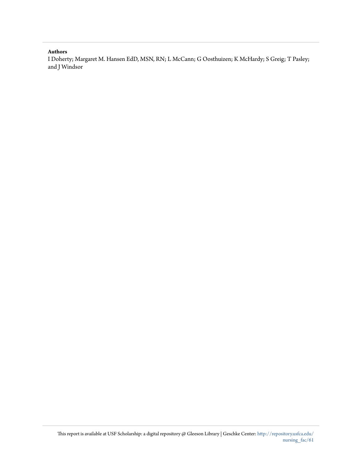#### **Authors**

I Doherty; Margaret M. Hansen EdD, MSN, RN; L McCann; G Oosthuizen; K McHardy; S Greig; T Pasley; and J Windsor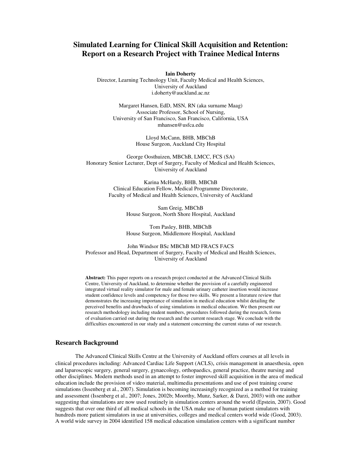# **Simulated Learning for Clinical Skill Acquisition and Retention: Report on a Research Project with Trainee Medical Interns**

**Iain Doherty**

Director, Learning Technology Unit, Faculty Medical and Health Sciences, University of Auckland i.doherty@auckland.ac.nz

Margaret Hansen, EdD, MSN, RN (aka surname Maag) Associate Professor, School of Nursing, University of San Francisco, San Francisco, California, USA mhansen@usfca.edu

> Lloyd McCann, BHB, MBChB House Surgeon, Auckland City Hospital

George Oosthuizen, MBChB, LMCC, FCS (SA) Honorary Senior Lecturer, Dept of Surgery, Faculty of Medical and Health Sciences, University of Auckland

> Karina McHardy, BHB, MBChB Clinical Education Fellow, Medical Programme Directorate, Faculty of Medical and Health Sciences, University of Auckland

> > Sam Greig, MBChB House Surgeon, North Shore Hospital, Auckland

> > Tom Pasley, BHB, MBChB House Surgeon, Middlemore Hospital, Auckland

John Windsor BSc MBChB MD FRACS FACS Professor and Head, Department of Surgery, Faculty of Medical and Health Sciences, University of Auckland

**Abstract:** This paper reports on a research project conducted at the Advanced Clinical Skills Centre, University of Auckland, to determine whether the provision of a carefully engineered integrated virtual reality simulator for male and female urinary catheter insertion would increase student confidence levels and competency for those two skills. We present a literature review that demonstrates the increasing importance of simulation in medical education whilst detailing the perceived benefits and drawbacks of using simulations in medical education. We then present our research methodology including student numbers, procedures followed during the research, forms of evaluation carried out during the research and the current research stage. We conclude with the difficulties encountered in our study and a statement concerning the current status of our research.

#### **Research Background**

The Advanced Clinical Skills Centre at the University of Auckland offers courses at all levels in clinical procedures including: Advanced Cardiac Life Support (ACLS), crisis management in anaesthesia, open and laparoscopic surgery, general surgery, gynaecology, orthopaedics, general practice, theatre nursing and other disciplines. Modern methods used in an attempt to foster improved skill acquisition in the area of medical education include the provision of video material, multimedia presentations and use of post training course simulations (Issenberg et al., 2007). Simulation is becoming increasingly recognized as a method for training and assessment (Issenberg et al., 2007; Jones, 2002b; Moorthy, Munz, Sarker, & Darzi, 2003) with one author suggesting that simulations are now used routinely in simulation centers around the world (Epstein, 2007). Good suggests that over one third of all medical schools in the USA make use of human patient simulators with hundreds more patient simulators in use at universities, colleges and medical centers world wide (Good, 2003). A world wide survey in 2004 identified 158 medical education simulation centers with a significant number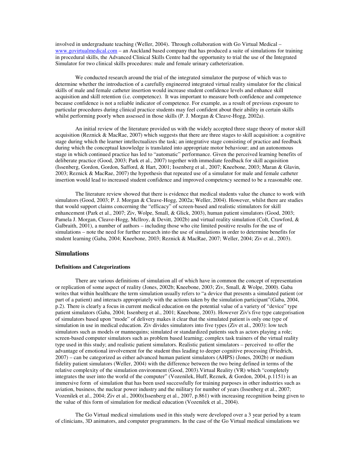involved in undergraduate teaching (Weller, 2004). Through collaboration with Go Virtual Medical – www.govirtualmedical.com – an Auckland based company that has produced a suite of simulations for training in procedural skills, the Advanced Clinical Skills Centre had the opportunity to trial the use of the Integrated Simulator for two clinical skills procedures: male and female urinary catheterization.

We conducted research around the trial of the integrated simulator the purpose of which was to determine whether the introduction of a carefully engineered integrated virtual reality simulator for the clinical skills of male and female catheter insertion would increase student confidence levels and enhance skill acquisition and skill retention (i.e. competence). It was important to measure both confidence and competence because confidence is not a reliable indicator of competence. For example, as a result of previous exposure to particular procedures during clinical practice students may feel confident about their ability in certain skills whilst performing poorly when assessed in those skills (P. J. Morgan & Cleave-Hogg, 2002a).

An initial review of the literature provided us with the widely accepted three stage theory of motor skill acquisition (Reznick & MacRae, 2007) which suggests that there are three stages to skill acquisition: a cognitive stage during which the learner intellectualizes the task; an integrative stage consisting of practice and feedback during which the conceptual knowledge is translated into appropriate motor behaviour; and an autonomous stage in which continued practice has led to "automatic" performance. Given the perceived learning benefits of deliberate practice (Good, 2003; Park et al., 2007) together with immediate feedback for skill acquisition (Issenberg, Gordon, Gordon, Safford, & Hart, 2001; Issenberg et al., 2007; Kneebone, 2003; Maran & Glavin, 2003; Reznick & MacRae, 2007) the hypothesis that repeated use of a simulator for male and female catheter insertion would lead to increased student confidence and improved competency seemed to be a reasonable one.

The literature review showed that there is evidence that medical students value the chance to work with simulators (Good, 2003; P. J. Morgan & Cleave-Hogg, 2002a; Weller, 2004). However, whilst there are studies that would support claims concerning the "efficacy" of screen-based and realistic stimulators for skill enhancement (Park et al., 2007; Ziv, Wolpe, Small, & Glick, 2003), human patient simulators (Good, 2003; Pamela J. Morgan, Cleave-Hogg, Mcllroy, & Devitt, 2002b) and virtual reality simulation (Colt, Crawford, & Galbraith, 2001), a number of authors – including those who cite limited positive results for the use of simulations – note the need for further research into the use of simulations in order to determine benefits for student learning (Gaba, 2004; Kneebone, 2003; Reznick & MacRae, 2007; Weller, 2004; Ziv et al., 2003).

#### **Simulations**

#### **Definitions and Categorizations**

There are various definitions of simulation all of which have in common the concept of representation or replication of some aspect of reality (Jones, 2002b; Kneebone, 2003; Ziv, Small, & Wolpe, 2000). Gaba writes that within healthcare the term simulation usually refers to "a device that presents a simulated patient (or part of a patient) and interacts appropriately with the actions taken by the simulation participant"(Gaba, 2004, p.2). There is clearly a focus in current medical education on the potential value of a variety of "device" type patient simulators (Gaba, 2004; Issenberg et al., 2001; Kneebone, 2003). However Ziv's five type categorisation of simulators based upon "mode" of delivery makes it clear that the simulated patient is only one type of simulation in use in medical education. Ziv divides simulators into five types (Ziv et al., 2003): low tech simulators such as models or mannequins; simulated or standardized patients such as actors playing a role; screen-based computer simulators such as problem based learning; complex task trainers of the virtual reality type used in this study; and realistic patient simulators. Realistic patient simulators – perceived to offer the advantage of emotional involvement for the student thus leading to deeper cognitive processing (Friedrich, 2007) – can be categorized as either advanced human patient simulators (AHPS) (Jones, 2002b) or medium fidelity patient simulators (Weller, 2004) with the difference between the two being defined in terms of the relative complexity of the simulation environment (Good, 2003).Virtual Reality (VR) which "completely integrates the user into the world of the computer" (Vozenilek, Huff, Reznek, & Gordon, 2004, p.1151) is an immersive form of simulation that has been used successfully for training purposes in other industries such as aviation, business, the nuclear power industry and the military for number of years (Issenberg et al., 2007; Vozenilek et al., 2004; Ziv et al., 2000)(Issenberg et al., 2007, p.861) with increasing recognition being given to the value of this form of simulation for medical education (Vozenilek et al., 2004).

The Go Virtual medical simulations used in this study were developed over a 3 year period by a team of clinicians, 3D animators, and computer programmers. In the case of the Go Virtual medical simulations we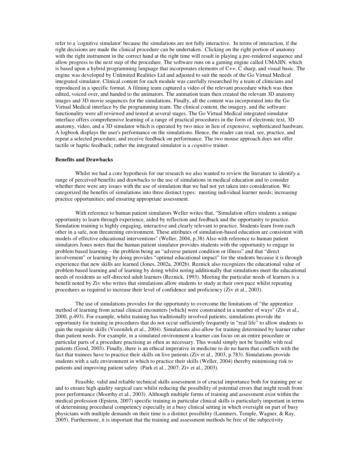refer to a 'cognitive simulator' because the simulations are not fully interactive. In terms of interaction, if the right decisions are made the clinical procedure can be undertaken. Clicking on the right portion of anatomy with the right instrument in the correct hand at the right time will result in playing a pre-rendered sequence and allow progress to the next step of the procedure. The software runs on a gaming engine called UMAJIN, which is based upon a hybrid programming language that incorporates elements of C++, C sharp, and visual basic. The engine was developed by Unlimited Realities Ltd and adjusted to suit the needs of the Go Virtual Medical integrated simulator. Clinical content for each module was carefully researched by a team of clinicians and reproduced in a specific format. A filming team captured a video of the relevant procedure which was then edited, voiced over, and handed to the animators. The animation team then created the relevant 3D anatomy images and 3D movie sequences for the simulations. Finally, all the content was incorporated into the Go Virtual Medical interface by the programming team. The clinical content, the imagery, and the software functionality were all reviewed and tested at several stages. The Go Virtual Medical integrated simulator interface offers comprehensive learning of a range of practical procedures in the form of electronic text, 3D anatomy, video, and a 3D simulator which is operated by two mice in lieu of expensive, sophisticated hardware. A logbook displays the user's performance on the simulations. Hence, the reader can read, see, practice, and repeat a selected procedure, and receive feedback on performance. The two mouse approach does not offer tactile or haptic feedback; rather the integrated simulator is a *cognitive* trainer.

#### **Benefits and Drawbacks**

Whilst we had a core hypothesis for our research we also wanted to review the literature to identify a range of perceived benefits and drawbacks to the use of simulations in medical education and to consider whether there were any issues with the use of simulation that we had not yet taken into consideration. We categorized the benefits of simulations into three distinct types: meeting individual learner needs; increasing practice opportunities; and ensuring appropriate assessment.

With reference to human patient simulators Weller writes that, "Simulation offers students a unique opportunity to learn through experience, aided by reflection and feedback and the opportunity to practice. Simulation training is highly engaging, interactive and clearly relevant to practice. Students learn from each other in a safe, non threatening environment. These attributes of simulation-based education are consistent with models of effective educational interventions" (Weller, 2004, p.38) Also with reference to human patient simulators Jones notes that the human patient simulator provides students with the opportunity to engage in problem based learning – the problem being an "adverse patient condition or illness" and that "direct involvement" or learning by doing provides "optimal educational impact" for the students because it is through experience that new skills are learned (Jones, 2002a, 2002b). Reznick also recognizes the educational value of problem based learning and of learning by doing whilst noting additionally that simulations meet the educational needs of residents as self-directed adult learners (Reznick, 1993). Meeting the particular needs of learners is a benefit noted by Ziv who writes that simulations allow students to study at their own pace whilst repeating procedures as required to increase their level of confidence and proficiency (Ziv et al., 2003).

The use of simulations provides for the opportunity to overcome the limitations of "the apprentice method of learning from actual clinical encounters [which] were constrained in a number of ways" (Ziv et al., 2000, p.493). For example, whilst training has traditionally involved patients, simulations provide the opportunity for training in procedures that do not occur sufficiently frequently in "real life" to allow students to gain the requisite skills (Vozenilek et al., 2004). Simulations also allow for training determined by learner rather than patient needs. For example, in a simulated environment a learner can focus on an entire procedure or particular parts of a procedure practising as often as necessary. This would simply not be feasible with real patients (Good, 2003). Finally, there is an ethical imperative in medicine to do no harm that conflicts with the fact that trainees have to practice their skills on live patients (Ziv et al., 2003, p.783). Simulations provide students with a safe environment in which to practice their skills (Weller, 2004) thereby minimising risk to patients and improving patient safety (Park et al., 2007; Ziv et al., 2003).

Feasible, valid and reliable technical skills assessment is of crucial importance both for training per se and to ensure high quality surgical care whilst reducing the possibility of potential errors that might result from poor performance (Moorthy et al., 2003). Although multiple forms of training and assessment exist within the medical profession (Epstein, 2007) specific training in particular clinical skills is particularly important in terms of determining procedural competency especially in a busy clinical setting in which oversight on part of busy physicians with multiple demands on their time is a distinct possibility (Lammers, Temple, Wagner, & Ray, 2005). Furthermore, it is important that the training and assessment methods be free of the subjectivity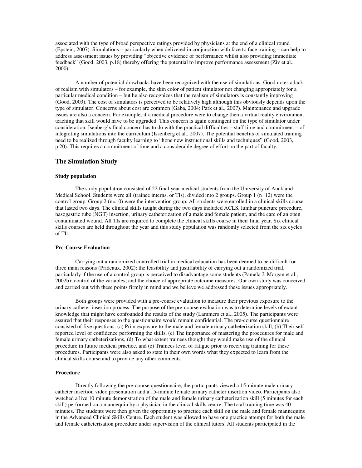associated with the type of broad perspective ratings provided by physicians at the end of a clinical round (Epstein, 2007). Simulations – particularly when delivered in conjunction with face to face training – can help to address assessment issues by providing "objective evidence of performance whilst also providing immediate feedback" (Good, 2003, p.18) thereby offering the potential to improve performance assessment (Ziv et al., 2000).

A number of potential drawbacks have been recognized with the use of simulations. Good notes a lack of realism with simulators – for example, the skin color of patient simulator not changing appropriately for a particular medical condition – but he also recognizes that the realism of simulators is constantly improving (Good, 2003). The cost of simulators is perceived to be relatively high although this obviously depends upon the type of simulator. Concerns about cost are common (Gaba, 2004; Park et al., 2007). Maintenance and upgrade issues are also a concern. For example, if a medical procedure were to change then a virtual reality environment teaching that skill would have to be upgraded. This concern is again contingent on the type of simulator under consideration. Isenberg's final concern has to do with the practical difficulties – staff time and commitment – of integrating simulations into the curriculum (Issenberg et al., 2007). The potential benefits of simulated training need to be realized through faculty learning to "hone new instructional skills and techniques" (Good, 2003, p.20). This requires a commitment of time and a considerable degree of effort on the part of faculty.

### **The Simulation Study**

#### **Study population**

The study population consisted of 22 final year medical students from the University of Auckland Medical School. Students were all (trainee interns, or TIs), divided into 2 groups. Group 1 (n=12) were the control group. Group 2 (n=10) were the intervention group. All students were enrolled in a clinical skills course that lasted two days. The clinical skills taught during the two days included ACLS, lumbar puncture procedure, nasogastric tube (NGT) insertion, urinary catheterization of a male and female patient, and the care of an open contaminated wound. All TIs are required to complete the clinical skills course in their final year. Six clinical skills courses are held throughout the year and this study population was randomly selected from the six cycles of TIs.

#### **Pre-Course Evaluation**

Carrying out a randomized controlled trial in medical education has been deemed to be difficult for three main reasons (Prideaux, 2002): the feasibility and justifiability of carrying out a randomized trial, particularly if the use of a control group is perceived to disadvantage some students (Pamela J. Morgan et al., 2002b); control of the variables; and the choice of appropriate outcome measures. Our own study was conceived and carried out with these points firmly in mind and we believe we addressed these issues appropriately.

Both groups were provided with a pre-course evaluation to measure their previous exposure to the urinary catheter insertion process. The purpose of the pre-course evaluation was to determine levels of extant knowledge that might have confounded the results of the study (Lammers et al., 2005). The participants were assured that their responses to the questionnaire would remain confidential. The pre-course questionnaire consisted of five questions: (a) Prior exposure to the male and female urinary catheterization skill, (b) Their selfreported level of confidence performing the skills, (c) The importance of mastering the procedures for male and female urinary catheterizations, (d) To what extent trainees thought they would make use of the clinical procedure in future medical practice, and (e) Trainees level of fatigue prior to receiving training for these procedures. Participants were also asked to state in their own words what they expected to learn from the clinical skills course and to provide any other comments.

#### **Procedure**

Directly following the pre-course questionnaire, the participants viewed a 15-minute male urinary catheter insertion video presentation and a 15-minute female urinary catheter insertion video. Participants also watched a live 10 minute demonstration of the male and female urinary catheterization skill (5 minutes for each skill) performed on a mannequin by a physician in the clinical skills centre. The total training time was 40 minutes. The students were then given the opportunity to practice each skill on the male and female mannequins in the Advanced Clinical Skills Centre. Each student was allowed to have one practice attempt for both the male and female catheterisation procedure under supervision of the clinical tutors. All students participated in the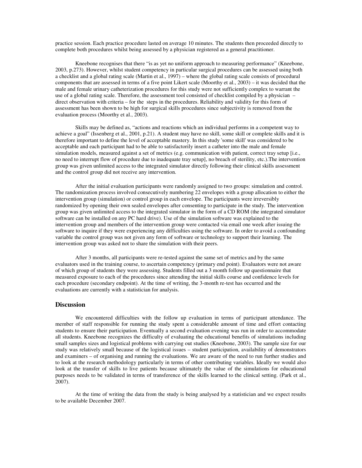practice session. Each practice procedure lasted on average 10 minutes. The students then proceeded directly to complete both procedures whilst being assessed by a physician registered as a general practitioner.

Kneebone recognises that there "is as yet no uniform approach to measuring performance" (Kneebone, 2003, p.273). However, whilst student competency in particular surgical procedures can be assessed using both a checklist and a global rating scale (Martin et al., 1997) – where the global rating scale consists of procedural components that are assessed in terms of a five point Likert scale (Moorthy et al., 2003) – it was decided that the male and female urinary catheterization procedures for this study were not sufficiently complex to warrant the use of a global rating scale. Therefore, the assessment tool consisted of checklist compiled by a physician – direct observation with criteria – for the steps in the procedures. Reliability and validity for this form of assessment has been shown to be high for surgical skills procedures since subjectivity is removed from the evaluation process (Moorthy et al., 2003).

Skills may be defined as, "actions and reactions which an individual performs in a competent way to achieve a goal" (Issenberg et al., 2001, p.21). A student may have no skill, some skill or complete skills and it is therefore important to define the level of acceptable mastery. In this study 'some skill' was considered to be acceptable and each participant had to be able to satisfactorily insert a catheter into the male and female simulation models, measured against a set of metrics (e.g. communication with patient, correct tray setup [i.e., no need to interrupt flow of procedure due to inadequate tray setup], no breach of sterility, etc.).The intervention group was given unlimited access to the integrated simulator directly following their clinical skills assessment and the control group did not receive any intervention.

After the initial evaluation participants were randomly assigned to two groups: simulation and control. The randomization process involved consecutively numbering 22 envelopes with a group allocation to either the intervention group (simulation) or control group in each envelope. The participants were irreversibly randomized by opening their own sealed envelopes after consenting to participate in the study. The intervention group was given unlimited access to the integrated simulator in the form of a CD ROM (the integrated simulator software can be installed on any PC hard drive). Use of the simulation software was explained to the intervention group and members of the intervention group were contacted via email one week after issuing the software to inquire if they were experiencing any difficulties using the software. In order to avoid a confounding variable the control group was not given any form of software or technology to support their learning. The intervention group was asked not to share the simulation with their peers.

After 3 months, all participants were re-tested against the same set of metrics and by the same evaluators used in the training course, to ascertain competency (primary end point). Evaluators were not aware of which group of students they were assessing. Students filled out a 3 month follow up questionnaire that measured exposure to each of the procedures since attending the initial skills course and confidence levels for each procedure (secondary endpoint). At the time of writing, the 3-month re-test has occurred and the evaluations are currently with a statistician for analysis.

#### **Discussion**

We encountered difficulties with the follow up evaluation in terms of participant attendance. The member of staff responsible for running the study spent a considerable amount of time and effort contacting students to ensure their participation. Eventually a second evaluation evening was run in order to accommodate all students. Kneebone recognizes the difficulty of evaluating the educational benefits of simulations including small samples sizes and logistical problems with carrying out studies (Kneebone, 2003). The sample size for our study was relatively small because of the logistical issues – student participation, availability of demonstrators and examiners – of organising and running the evaluations. We are aware of the need to run further studies and to look at the research methodology particularly in terms of other contributing variables. Ideally we would also look at the transfer of skills to live patients because ultimately the value of the simulations for educational purposes needs to be validated in terms of transference of the skills learned to the clinical setting. (Park et al., 2007).

At the time of writing the data from the study is being analysed by a statistician and we expect results to be available December 2007.